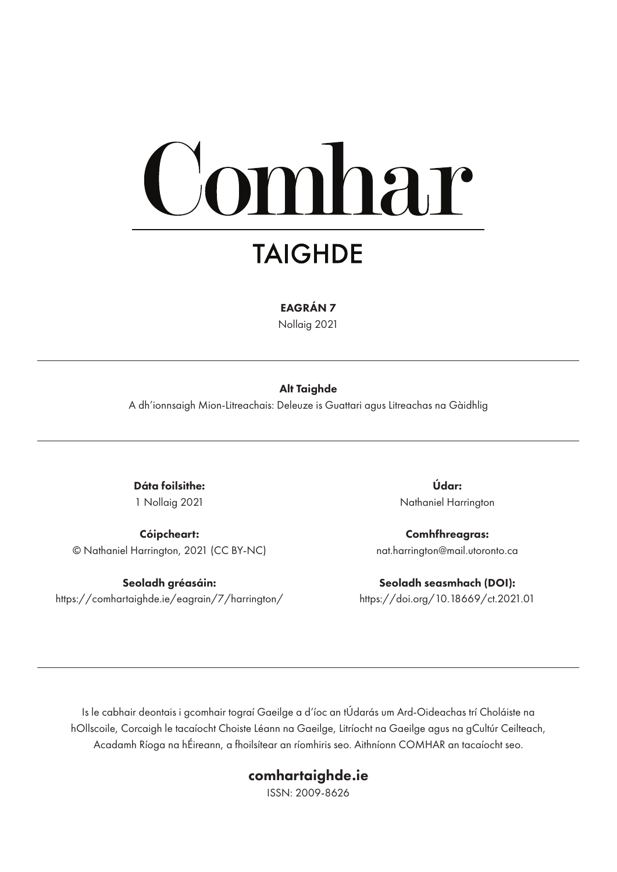# omhar

## **TAIGHDE**

EAGRÁN 7

Nollaig 2021

#### Alt Taighde

A dh'ionnsaigh Mion-Litreachais: Deleuze is Guattari agus Litreachas na Gàidhlig

Dáta foilsithe: 1 Nollaig 2021

Cóipcheart: © Nathaniel Harrington, 2021 (CC BY-NC)

Seoladh gréasáin: https://comhartaighde.ie/eagrain/7/harrington/

Údar: Nathaniel Harrington

Comhfhreagras: nat.harrington@mail.utoronto.ca

Seoladh seasmhach (DOI): https://doi.org/10.18669/ct.2021.01

Is le cabhair deontais i gcomhair tograí Gaeilge a d'íoc an tÚdarás um Ard-Oideachas trí Choláiste na hOllscoile, Corcaigh le tacaíocht Choiste Léann na Gaeilge, Litríocht na Gaeilge agus na gCultúr Ceilteach, Acadamh Ríoga na hÉireann, a fhoilsítear an ríomhiris seo. Aithníonn COMHAR an tacaíocht seo.

#### comhartaighde.ie

ISSN: 2009-8626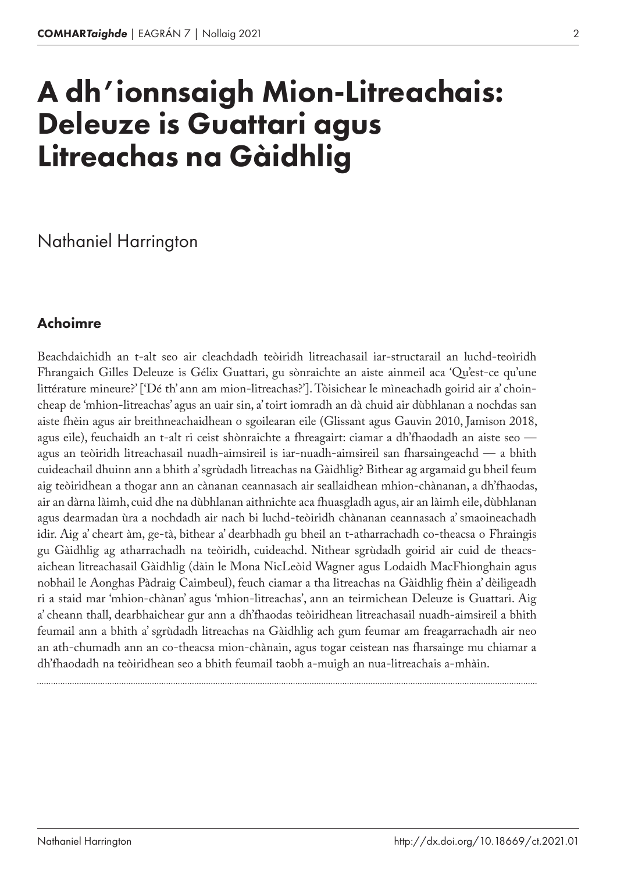# A dh'ionnsaigh Mion-Litreachais: Deleuze is Guattari agus Litreachas na Gàidhlig

Nathaniel Harrington

## Achoimre

Beachdaichidh an t‑alt seo air cleachdadh teòiridh litreachasail iar-structarail an luchd-teoìridh Fhrangaich Gilles Deleuze is Gélix Guattari, gu sònraichte an aiste ainmeil aca 'Qu'est-ce qu'une littérature mineure?' ['Dé th' ann am mion-litreachas?']. Tòisichear le mìneachadh goirid air a' choincheap de 'mhion-litreachas' agus an uair sin, a' toirt iomradh an dà chuid air dùbhlanan a nochdas san aiste fhèin agus air breithneachaidhean o sgoilearan eile (Glissant agus Gauvin 2010, Jamison 2018, agus eile), feuchaidh an t-alt ri ceist shònraichte a fhreagairt: ciamar a dh'fhaodadh an aiste seo agus an teòiridh litreachasail nuadh-aimsireil is iar-nuadh-aimsireil san fharsaingeachd — a bhith cuideachail dhuinn ann a bhith a' sgrùdadh litreachas na Gàidhlig? Bithear ag argamaid gu bheil feum aig teòiridhean a thogar ann an cànanan ceannasach air seallaidhean mhion-chànanan, a dh'fhaodas, air an dàrna làimh, cuid dhe na dùbhlanan aithnichte aca fhuasgladh agus, air an làimh eile, dùbhlanan agus dearmadan ùra a nochdadh air nach bi luchd-teòiridh chànanan ceannasach a' smaoineachadh idir. Aig a' cheart àm, ge-tà, bithear a' dearbhadh gu bheil an t‑atharrachadh co-theacsa o Fhraingis gu Gàidhlig ag atharrachadh na teòiridh, cuideachd. Nithear sgrùdadh goirid air cuid de theacsaichean litreachasail Gàidhlig (dàin le Mona NicLeòid Wagner agus Lodaidh MacFhionghain agus nobhail le Aonghas Pàdraig Caimbeul), feuch ciamar a tha litreachas na Gàidhlig fhèin a' dèiligeadh ri a staid mar 'mhion-chànan' agus 'mhion-litreachas', ann an teirmichean Deleuze is Guattari. Aig a' cheann thall, dearbhaichear gur ann a dh'fhaodas teòiridhean litreachasail nuadh-aimsireil a bhith feumail ann a bhith a' sgrùdadh litreachas na Gàidhlig ach gum feumar am freagarrachadh air neo an ath-chumadh ann an co-theacsa mion-chànain, agus togar ceistean nas fharsainge mu chiamar a dh'fhaodadh na teòiridhean seo a bhith feumail taobh a‑muigh an nua-litreachais a‑mhàin.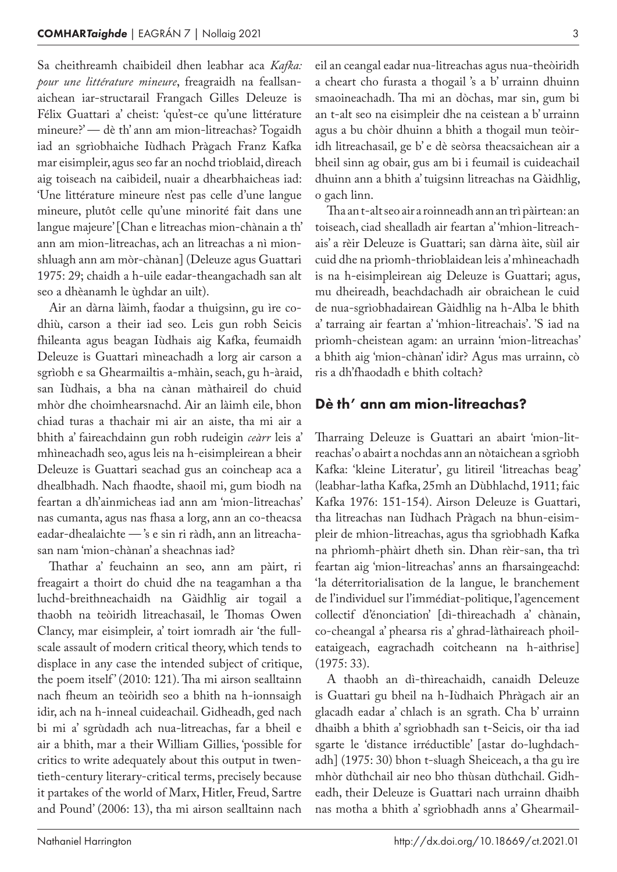Sa cheithreamh chaibideil dhen leabhar aca *Kafka: pour une littérature mineure*, freagraidh na feallsan‑ aichean iar-structarail Frangach Gilles Deleuze is Félix Guattari a' cheist: 'qu'est-ce qu'une littérature mineure?' — dè th' ann am mion-litreachas? Togaidh iad an sgrìobhaiche Iùdhach Pràgach Franz Kafka mar eisimpleir, agus seo far an nochd trioblaid, dìreach aig toiseach na caibideil, nuair a dhearbhaicheas iad: 'Une littérature mineure n'est pas celle d'une langue mineure, plutôt celle qu'une minorité fait dans une langue majeure' [Chan e litreachas mion-chànain a th' ann am mion-litreachas, ach an litreachas a nì mionshluagh ann am mòr-chànan] (Deleuze agus Guattari 1975: 29; chaidh a h‑uile eadar-theangachadh san alt seo a dhèanamh le ùghdar an uilt).

Air an dàrna làimh, faodar a thuigsinn, gu ìre codhiù, carson a their iad seo. Leis gun robh Seicis fhileanta agus beagan Iùdhais aig Kafka, feumaidh Deleuze is Guattari mìneachadh a lorg air carson a sgrìobh e sa Ghearmailtis a-mhàin, seach, gu h-àraid, san Iùdhais, a bha na cànan màthaireil do chuid mhòr dhe choimhearsnachd. Air an làimh eile, bhon chiad turas a thachair mi air an aiste, tha mi air a bhith a' faireachdainn gun robh rudeigin *ceàrr* leis a' mhìneachadh seo, agus leis na h‑eisimpleirean a bheir Deleuze is Guattari seachad gus an coincheap aca a dhealbhadh. Nach fhaodte, shaoil mi, gum biodh na feartan a dh'ainmicheas iad ann am 'mion-litreachas' nas cumanta, agus nas fhasa a lorg, ann an co-theacsa eadar-dhealaichte — 's e sin ri ràdh, ann an litreachasan nam 'mion-chànan' a sheachnas iad?

Thathar a' feuchainn an seo, ann am pàirt, ri freagairt a thoirt do chuid dhe na teagamhan a tha luchd-breithneachaidh na Gàidhlig air togail a thaobh na teòiridh litreachasail, le Thomas Owen Clancy, mar eisimpleir, a' toirt iomradh air 'the fullscale assault of modern critical theory, which tends to displace in any case the intended subject of critique, the poem itself' (2010: 121). Tha mi airson sealltainn nach fheum an teòiridh seo a bhith na h-ionnsaigh idir, ach na h‑inneal cuideachail. Gidheadh, ged nach bi mi a' sgrùdadh ach nua-litreachas, far a bheil e air a bhith, mar a their William Gillies, 'possible for critics to write adequately about this output in twentieth-century literary-critical terms, precisely because it partakes of the world of Marx, Hitler, Freud, Sartre and Pound' (2006: 13), tha mi airson sealltainn nach

eil an ceangal eadar nua-litreachas agus nua-theòiridh a cheart cho furasta a thogail 's a b' urrainn dhuinn smaoineachadh. Tha mi an dòchas, mar sin, gum bi an t‑alt seo na eisimpleir dhe na ceistean a b' urrainn agus a bu chòir dhuinn a bhith a thogail mun teòiridh litreachasail, ge b' e dè seòrsa theacsaichean air a bheil sinn ag obair, gus am bi i feumail is cuideachail dhuinn ann a bhith a' tuigsinn litreachas na Gàidhlig, o gach linn.

Tha an t‑alt seo air a roinneadh ann an trì pàirtean: an toiseach, ciad shealladh air feartan a' 'mhion-litreach‑ ais' a rèir Deleuze is Guattari; san dàrna àite, sùil air cuid dhe na prìomh-thrioblaidean leis a' mhìneachadh is na h-eisimpleirean aig Deleuze is Guattari; agus, mu dheireadh, beachdachadh air obraichean le cuid de nua-sgrìobhadairean Gàidhlig na h‑Alba le bhith a' tarraing air feartan a' 'mhion-litreachais'. 'S iad na prìomh-cheistean agam: an urrainn 'mion-litreachas' a bhith aig 'mion-chànan' idir? Agus mas urrainn, cò ris a dh'fhaodadh e bhith coltach?

#### Dè th' ann am mion-litreachas?

Tharraing Deleuze is Guattari an abairt 'mion-lit‑ reachas' o abairt a nochdas ann an nòtaichean a sgrìobh Kafka: 'kleine Literatur', gu litireil 'litreachas beag' (leabhar-latha Kafka, 25mh an Dùbhlachd, 1911; faic Kafka 1976: 151-154). Airson Deleuze is Guattari, tha litreachas nan Iùdhach Pràgach na bhun-eisim‑ pleir de mhion-litreachas, agus tha sgrìobhadh Kafka na phrìomh-phàirt dheth sin. Dhan rèir-san, tha trì feartan aig 'mion-litreachas' anns an fharsaingeachd: 'la déterritorialisation de la langue, le branchement de l'individuel sur l'immédiat-politique, l'agencement collectif d'énonciation' [dì-thìreachadh a' chànain, co-cheangal a' phearsa ris a' ghrad-làthaireach phoileataigeach, eagrachadh coitcheann na h-aithrise] (1975: 33).

A thaobh an dì-thìreachaidh, canaidh Deleuze is Guattari gu bheil na h‑Iùdhaich Phràgach air an glacadh eadar a' chlach is an sgrath. Cha b' urrainn dhaibh a bhith a' sgrìobhadh san t‑Seicis, oir tha iad sgarte le 'distance irréductible' [astar do-lughdachadh] (1975: 30) bhon t‑sluagh Sheiceach, a tha gu ìre mhòr dùthchail air neo bho thùsan dùthchail. Gidheadh, their Deleuze is Guattari nach urrainn dhaibh nas motha a bhith a' sgrìobhadh anns a' Ghearmail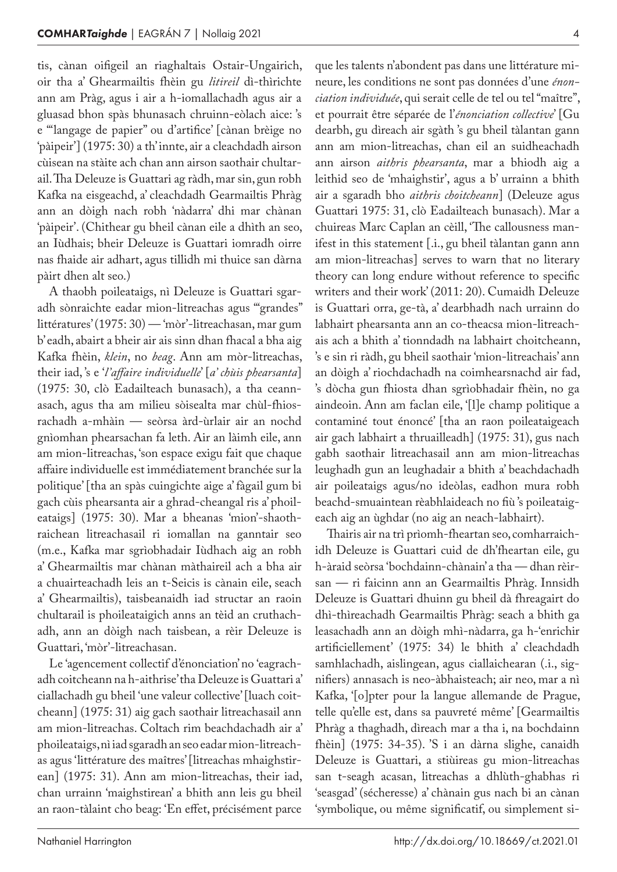tis, cànan oifigeil an riaghaltais Ostair-Ungairich, oir tha a' Ghearmailtis fhèin gu *litireil* dì-thìrichte ann am Pràg, agus i air a h‑iomallachadh agus air a gluasad bhon spàs bhunasach chruinn-eòlach aice: 's e '"langage de papier" ou d'artifice' [cànan brèige no 'pàipeir'] (1975: 30) a th' innte, air a cleachdadh airson cùisean na stàite ach chan ann airson saothair chultar‑ ail. Tha Deleuze is Guattari ag ràdh, mar sin, gun robh Kafka na eisgeachd, a' cleachdadh Gearmailtis Phràg ann an dòigh nach robh 'nàdarra' dhi mar chànan 'pàipeir'. (Chithear gu bheil cànan eile a dhìth an seo, an Iùdhais; bheir Deleuze is Guattari iomradh oirre nas fhaide air adhart, agus tillidh mi thuice san dàrna pàirt dhen alt seo.)

A thaobh poileataigs, nì Deleuze is Guattari sgaradh sònraichte eadar mion-litreachas agus '"grandes" littératures' (1975: 30) — 'mòr'-litreachasan, mar gum b' eadh, abairt a bheir air ais sinn dhan fhacal a bha aig Kafka fhèin, *klein*, no *beag*. Ann am mòr-litreachas, their iad, 's e '*l'affaire individuelle*' [*a' chùis phearsanta*] (1975: 30, clò Eadailteach bunasach), a tha ceann‑ asach, agus tha am milieu sòisealta mar chùl-fhiosrachadh a‑mhàin — seòrsa àrd-ùrlair air an nochd gnìomhan phearsachan fa leth. Air an làimh eile, ann am mion-litreachas, 'son espace exigu fait que chaque affaire individuelle est immédiatement branchée sur la politique' [tha an spàs cuingichte aige a' fàgail gum bi gach cùis phearsanta air a ghrad-cheangal ris a' phoileataigs] (1975: 30). Mar a bheanas 'mion'-shaothraichean litreachasail ri iomallan na ganntair seo (m.e., Kafka mar sgrìobhadair Iùdhach aig an robh a' Ghearmailtis mar chànan màthaireil ach a bha air a chuairteachadh leis an t‑Seicis is cànain eile, seach a' Ghearmailtis), taisbeanaidh iad structar an raoin chultarail is phoileataigich anns an tèid an cruthach‑ adh, ann an dòigh nach taisbean, a rèir Deleuze is Guattari, 'mòr'-litreachasan.

Le 'agencement collectif d'énonciation' no 'eagrachadh coitcheann na h‑aithrise' tha Deleuze is Guattari a' ciallachadh gu bheil 'une valeur collective' [luach coitcheann] (1975: 31) aig gach saothair litreachasail ann am mion-litreachas. Coltach rim beachdachadh air a' phoileataigs, nì iad sgaradh an seo eadar mion-litreach‑ as agus 'littérature des maîtres' [litreachas mhaighstir‑ ean] (1975: 31). Ann am mion-litreachas, their iad, chan urrainn 'maighstirean' a bhith ann leis gu bheil an raon-tàlaint cho beag: 'En effet, précisément parce

que les talents n'abondent pas dans une littérature mi‑ neure, les conditions ne sont pas données d'une *énonciation individuée*, qui serait celle de tel ou tel "maître", et pourrait être séparée de l'*énonciation collective*' [Gu dearbh, gu dìreach air sgàth 's gu bheil tàlantan gann ann am mion-litreachas, chan eil an suidheachadh ann airson *aithris phearsanta*, mar a bhiodh aig a leithid seo de 'mhaighstir', agus a b' urrainn a bhith air a sgaradh bho *aithris choitcheann*] (Deleuze agus Guattari 1975: 31, clò Eadailteach bunasach). Mar a chuireas Marc Caplan an cèill, 'The callousness man‑ ifest in this statement [.i., gu bheil tàlantan gann ann am mion-litreachas] serves to warn that no literary theory can long endure without reference to specific writers and their work' (2011: 20). Cumaidh Deleuze is Guattari orra, ge-tà, a' dearbhadh nach urrainn do labhairt phearsanta ann an co-theacsa mion-litreachais ach a bhith a' tionndadh na labhairt choitcheann, 's e sin ri ràdh, gu bheil saothair 'mion-litreachais' ann an dòigh a' riochdachadh na coimhearsnachd air fad, 's dòcha gun fhiosta dhan sgrìobhadair fhèin, no ga aindeoin. Ann am faclan eile, '[l]e champ politique a contaminé tout énoncé' [tha an raon poileataigeach air gach labhairt a thruailleadh] (1975: 31), gus nach gabh saothair litreachasail ann am mion-litreachas leughadh gun an leughadair a bhith a' beachdachadh air poileataigs agus/no ideòlas, eadhon mura robh beachd-smuaintean rèabhlaideach no fiù 's poileataigeach aig an ùghdar (no aig an neach-labhairt).

Thairis air na trì prìomh-fheartan seo, comharraichidh Deleuze is Guattari cuid de dh'fheartan eile, gu h‑àraid seòrsa 'bochdainn-chànain' a tha — dhan rèirsan — ri faicinn ann an Gearmailtis Phràg. Innsidh Deleuze is Guattari dhuinn gu bheil dà fhreagairt do dhì-thìreachadh Gearmailtis Phràg: seach a bhith ga leasachadh ann an dòigh mhì-nàdarra, ga h‑'enrichir artificiellement' (1975: 34) le bhith a' cleachdadh samhlachadh, aislingean, agus ciallaichearan (.i., signifiers) annasach is neo-àbhaisteach; air neo, mar a nì Kafka, '[o]pter pour la langue allemande de Prague, telle qu'elle est, dans sa pauvreté même' [Gearmailtis Phràg a thaghadh, dìreach mar a tha i, na bochdainn fhèin] (1975: 34-35). 'S i an dàrna slighe, canaidh Deleuze is Guattari, a stiùireas gu mion-litreachas san t-seagh acasan, litreachas a dhlùth-ghabhas ri 'seasgad' (sécheresse) a' chànain gus nach bi an cànan 'symbolique, ou même significatif, ou simplement si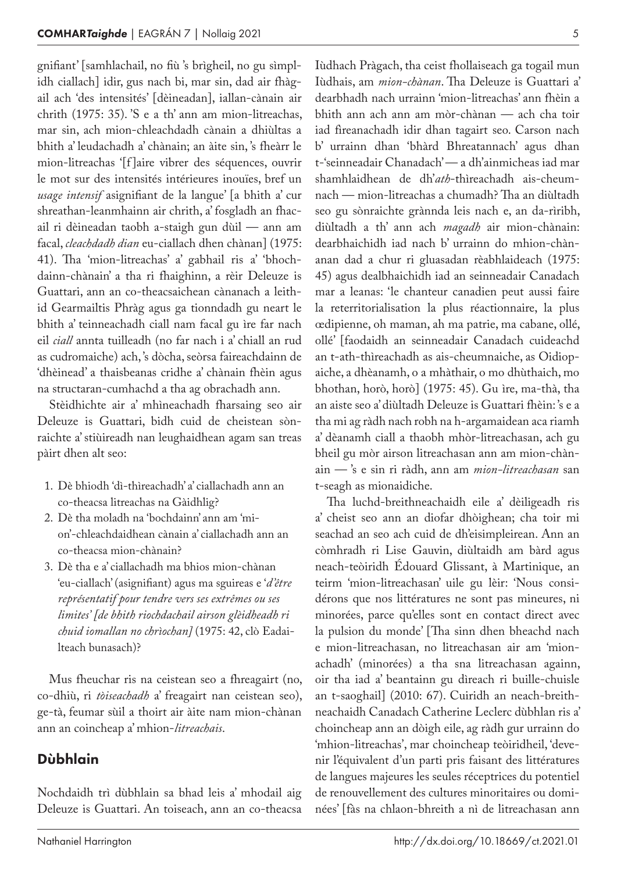gnifiant' [samhlachail, no fiù 's brìgheil, no gu sìmplidh ciallach] idir, gus nach bi, mar sin, dad air fhàgail ach 'des intensités' [dèineadan], iallan-cànain air chrith (1975: 35). 'S e a th' ann am mion-litreachas, mar sin, ach mion-chleachdadh cànain a dhiùltas a bhith a' leudachadh a' chànain; an àite sin, 's fheàrr le mion-litreachas '[f ]aire vibrer des séquences, ouvrir le mot sur des intensités intérieures inouïes, bref un *usage intensif* asignifiant de la langue' [a bhith a' cur shreathan-leanmhainn air chrith, a' fosgladh an fhacail ri dèineadan taobh a‑staigh gun dùil — ann am facal, *cleachdadh dian* eu-ciallach dhen chànan] (1975: 41). Tha 'mion-litreachas' a' gabhail ris a' 'bhochdainn-chànain' a tha ri fhaighinn, a rèir Deleuze is Guattari, ann an co-theacsaichean cànanach a leithid Gearmailtis Phràg agus ga tionndadh gu neart le bhith a' teinneachadh ciall nam facal gu ìre far nach eil *ciall* annta tuilleadh (no far nach i a' chiall an rud as cudromaiche) ach, 's dòcha, seòrsa faireachdainn de 'dhèinead' a thaisbeanas cridhe a' chànain fhèin agus na structaran-cumhachd a tha ag obrachadh ann.

Stèidhichte air a' mhìneachadh fharsaing seo air Deleuze is Guattari, bidh cuid de cheistean sònraichte a' stiùireadh nan leughaidhean agam san treas pàirt dhen alt seo:

- 1. Dè bhiodh 'dì-thìreachadh' a' ciallachadh ann an co-theacsa litreachas na Gàidhlig?
- 2. Dè tha moladh na 'bochdainn' ann am 'mi‑ on'-chleachdaidhean cànain a' ciallachadh ann an co-theacsa mion-chànain?
- 3. Dè tha e a' ciallachadh ma bhios mion-chànan 'eu-ciallach' (asignifiant) agus ma sguireas e '*d'être représentatif pour tendre vers ses extrêmes ou ses limites' [de bhith riochdachail airson glèidheadh ri chuid iomallan no chrìochan]* (1975: 42, clò Eadai‑ lteach bunasach)?

Mus fheuchar ris na ceistean seo a fhreagairt (no, co-dhiù, ri *tòiseachadh* a' freagairt nan ceistean seo), ge-tà, feumar sùil a thoirt air àite nam mion-chànan ann an coincheap a' mhion-*litreachais*.

#### Dùbhlain

Nochdaidh trì dùbhlain sa bhad leis a' mhodail aig Deleuze is Guattari. An toiseach, ann an co-theacsa Iùdhach Pràgach, tha ceist fhollaiseach ga togail mun Iùdhais, am *mion-chànan*. Tha Deleuze is Guattari a' dearbhadh nach urrainn 'mion-litreachas' ann fhèin a bhith ann ach ann am mòr-chànan — ach cha toir iad fìreanachadh idir dhan tagairt seo. Carson nach b' urrainn dhan 'bhàrd Bhreatannach' agus dhan t‑'seinneadair Chanadach' — a dh'ainmicheas iad mar shamhlaidhean de dh'*ath*-thìreachadh ais-cheum‑ nach — mion-litreachas a chumadh? Tha an diùltadh seo gu sònraichte grànnda leis nach e, an da-rìribh, diùltadh a th' ann ach *magadh* air mion-chànain: dearbhaichidh iad nach b' urrainn do mhion-chànanan dad a chur ri gluasadan rèabhlaideach (1975: 45) agus dealbhaichidh iad an seinneadair Canadach mar a leanas: 'le chanteur canadien peut aussi faire la reterritorialisation la plus réactionnaire, la plus œdipienne, oh maman, ah ma patrie, ma cabane, ollé, ollé' [faodaidh an seinneadair Canadach cuideachd an t-ath-thìreachadh as ais-cheumnaiche, as Oidiopaiche, a dhèanamh, o a mhàthair, o mo dhùthaich, mo bhothan, horò, horò] (1975: 45). Gu ìre, ma-thà, tha an aiste seo a' diùltadh Deleuze is Guattari fhèin: 's e a tha mi ag ràdh nach robh na h‑argamaidean aca riamh a' dèanamh ciall a thaobh mhòr-litreachasan, ach gu bheil gu mòr airson litreachasan ann am mion-chànain — 's e sin ri ràdh, ann am *mion-litreachasan* san t‑seagh as mionaidiche.

Tha luchd-breithneachaidh eile a' dèiligeadh ris a' cheist seo ann an diofar dhòighean; cha toir mi seachad an seo ach cuid de dh'eisimpleirean. Ann an còmhradh ri Lise Gauvin, diùltaidh am bàrd agus neach-teòiridh Édouard Glissant, à Martinique, an teirm 'mion-litreachasan' uile gu lèir: 'Nous considérons que nos littératures ne sont pas mineures, ni minorées, parce qu'elles sont en contact direct avec la pulsion du monde' [Tha sinn dhen bheachd nach e mion-litreachasan, no litreachasan air am 'mionachadh' (minorées) a tha sna litreachasan againn, oir tha iad a' beantainn gu dìreach ri buille-chuisle an t-saoghail] (2010: 67). Cuiridh an neach-breithneachaidh Canadach Catherine Leclerc dùbhlan ris a' choincheap ann an dòigh eile, ag ràdh gur urrainn do 'mhion-litreachas', mar choincheap teòiridheil, 'devenir l'équivalent d'un parti pris faisant des littératures de langues majeures les seules réceptrices du potentiel de renouvellement des cultures minoritaires ou dominées' [fàs na chlaon-bhreith a nì de litreachasan ann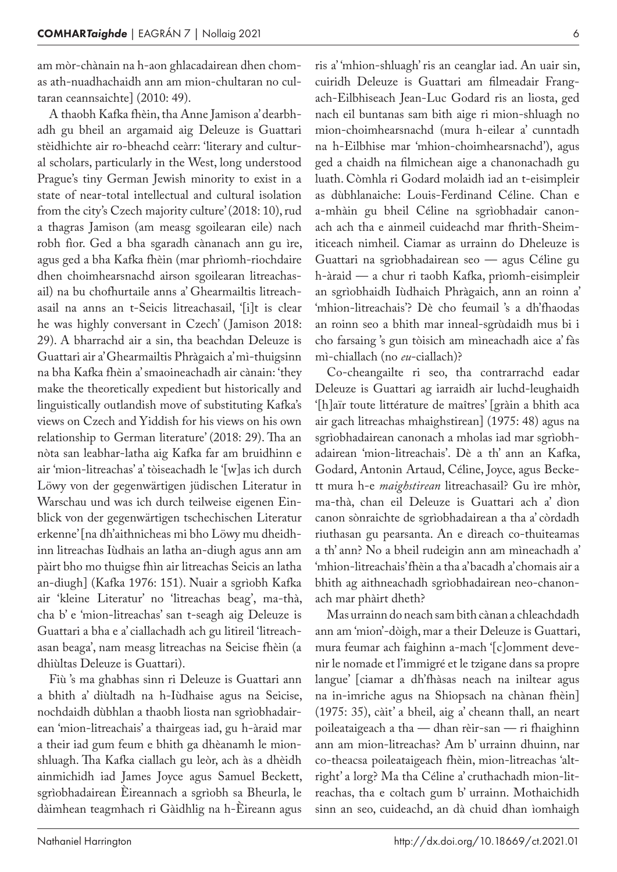am mòr-chànain na h‑aon ghlacadairean dhen chom‑ as ath-nuadhachaidh ann am mion-chultaran no cultaran ceannsaichte] (2010: 49).

A thaobh Kafka fhèin, tha Anne Jamison a' dearbh‑ adh gu bheil an argamaid aig Deleuze is Guattari stèidhichte air ro-bheachd ceàrr: 'literary and cultural scholars, particularly in the West, long understood Prague's tiny German Jewish minority to exist in a state of near-total intellectual and cultural isolation from the city's Czech majority culture' (2018: 10), rud a thagras Jamison (am measg sgoilearan eile) nach robh fìor. Ged a bha sgaradh cànanach ann gu ìre, agus ged a bha Kafka fhèin (mar phrìomh-riochdaire dhen choimhearsnachd airson sgoilearan litreachasail) na bu chofhurtaile anns a' Ghearmailtis litreachasail na anns an t‑Seicis litreachasail, '[i]t is clear he was highly conversant in Czech' ( Jamison 2018: 29). A bharrachd air a sin, tha beachdan Deleuze is Guattari air a' Ghearmailtis Phràgaich a' mì-thuigsinn na bha Kafka fhèin a' smaoineachadh air cànain: 'they make the theoretically expedient but historically and linguistically outlandish move of substituting Kafka's views on Czech and Yiddish for his views on his own relationship to German literature' (2018: 29). Tha an nòta san leabhar-latha aig Kafka far am bruidhinn e air 'mion-litreachas' a' tòiseachadh le '[w]as ich durch Löwy von der gegenwärtigen jüdischen Literatur in Warschau und was ich durch teilweise eigenen Einblick von der gegenwärtigen tschechischen Literatur erkenne' [na dh'aithnicheas mi bho Löwy mu dheidhinn litreachas Iùdhais an latha an-diugh agus ann am pàirt bho mo thuigse fhìn air litreachas Seicis an latha an-diugh] (Kafka 1976: 151). Nuair a sgrìobh Kafka air 'kleine Literatur' no 'litreachas beag', ma-thà, cha b' e 'mion-litreachas' san t‑seagh aig Deleuze is Guattari a bha e a' ciallachadh ach gu litireil 'litreach‑ asan beaga', nam measg litreachas na Seicise fhèin (a dhiùltas Deleuze is Guattari).

Fiù 's ma ghabhas sinn ri Deleuze is Guattari ann a bhith a' diùltadh na h‑Iùdhaise agus na Seicise, nochdaidh dùbhlan a thaobh liosta nan sgrìobhadair‑ ean 'mion-litreachais' a thairgeas iad, gu h‑àraid mar a their iad gum feum e bhith ga dhèanamh le mionshluagh. Tha Kafka ciallach gu leòr, ach às a dhèidh ainmichidh iad James Joyce agus Samuel Beckett, sgrìobhadairean Èireannach a sgrìobh sa Bheurla, le dàimhean teagmhach ri Gàidhlig na h‑Èireann agus

ris a' 'mhion-shluagh' ris an ceanglar iad. An uair sin, cuiridh Deleuze is Guattari am filmeadair Frangach-Eilbhiseach Jean-Luc Godard ris an liosta, ged nach eil buntanas sam bith aige ri mion-shluagh no mion-choimhearsnachd (mura h‑eilear a' cunntadh na h‑Eilbhise mar 'mhion-choimhearsnachd'), agus ged a chaidh na filmichean aige a chanonachadh gu luath. Còmhla ri Godard molaidh iad an t‑eisimpleir as dùbhlanaiche: Louis-Ferdinand Céline. Chan e a-mhàin gu bheil Céline na sgrìobhadair canonach ach tha e ainmeil cuideachd mar fhrith-Sheim‑ iticeach nimheil. Ciamar as urrainn do Dheleuze is Guattari na sgrìobhadairean seo — agus Céline gu h‑àraid — a chur ri taobh Kafka, prìomh-eisimpleir an sgrìobhaidh Iùdhaich Phràgaich, ann an roinn a' 'mhion-litreachais'? Dè cho feumail 's a dh'fhaodas an roinn seo a bhith mar inneal-sgrùdaidh mus bi i cho farsaing 's gun tòisich am mìneachadh aice a' fàs mì-chiallach (no *eu*-ciallach)?

Co-cheangailte ri seo, tha contrarrachd eadar Deleuze is Guattari ag iarraidh air luchd-leughaidh '[h]aïr toute littérature de maîtres' [gràin a bhith aca air gach litreachas mhaighstirean] (1975: 48) agus na sgrìobhadairean canonach a mholas iad mar sgrìobhadairean 'mion-litreachais'. Dè a th' ann an Kafka, Godard, Antonin Artaud, Céline, Joyce, agus Beckett mura h‑e *maighstirean* litreachasail? Gu ìre mhòr, ma-thà, chan eil Deleuze is Guattari ach a' dìon canon sònraichte de sgrìobhadairean a tha a' còrdadh riuthasan gu pearsanta. An e dìreach co-thuiteamas a th' ann? No a bheil rudeigin ann am mìneachadh a' 'mhion-litreachais' fhèin a tha a' bacadh a' chomais air a bhith ag aithneachadh sgrìobhadairean neo-chanonach mar phàirt dheth?

Mas urrainn do neach sam bith cànan a chleachdadh ann am 'mion'-dòigh, mar a their Deleuze is Guattari, mura feumar ach faighinn a-mach '[c]omment devenir le nomade et l'immigré et le tzigane dans sa propre langue' [ciamar a dh'fhàsas neach na iniltear agus na in‑imriche agus na Shiopsach na chànan fhèin] (1975: 35), càit' a bheil, aig a' cheann thall, an neart poileataigeach a tha — dhan rèir-san — ri fhaighinn ann am mion-litreachas? Am b' urrainn dhuinn, nar co-theacsa poileataigeach fhèin, mion-litreachas 'altright' a lorg? Ma tha Céline a' cruthachadh mion-litreachas, tha e coltach gum b' urrainn. Mothaichidh sinn an seo, cuideachd, an dà chuid dhan ìomhaigh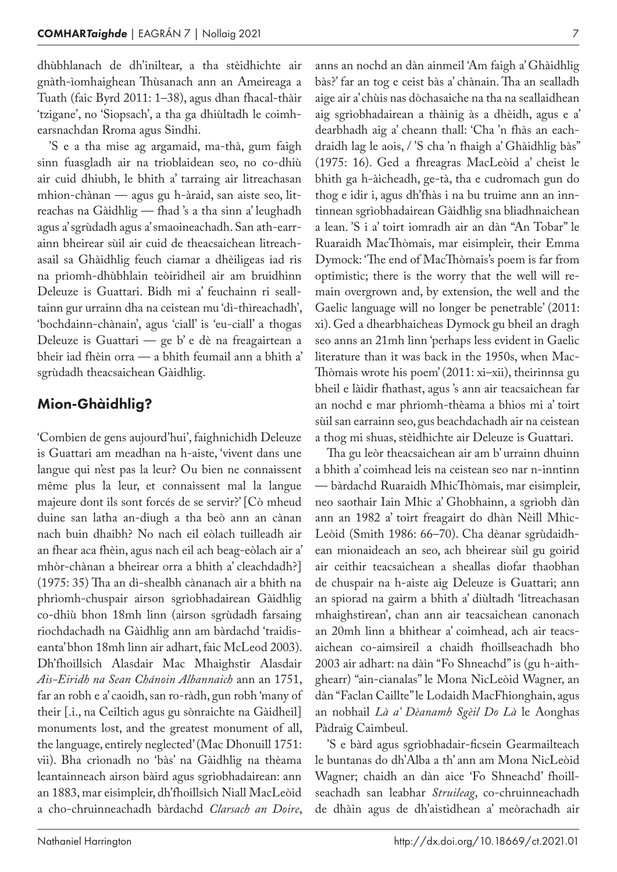dhùbhlanach de dh'iniltear, a tha stèidhichte air gnàth-ìomhaighean Thùsanach ann an Ameireaga a Tuath (faic Byrd 2011: 1–38), agus dhan fhacal-thàir 'tzigane', no 'Siopsach', a tha ga dhiùltadh le coimhearsnachdan Rroma agus Sindhi.

'S e a tha mise ag argamaid, ma-thà, gum faigh sinn fuasgladh air na trioblaidean seo, no co-dhiù air cuid dhiubh, le bhith a' tarraing air litreachasan mhion-chànan — agus gu h-àraid, san aiste seo, litreachas na Gàidhlig — fhad 's a tha sinn a' leughadh agus a' sgrùdadh agus a' smaoineachadh. San ath-earr‑ ainn bheirear sùil air cuid de theacsaichean litreach‑ asail sa Ghàidhlig feuch ciamar a dhèiligeas iad ris na prìomh-dhùbhlain teòiridheil air am bruidhinn Deleuze is Guattari. Bidh mi a' feuchainn ri seall‑ tainn gur urrainn dha na ceistean mu 'dì-thìreachadh', 'bochdainn-chànain', agus 'ciall' is 'eu-ciall' a thogas Deleuze is Guattari — ge b' e dè na freagairtean a bheir iad fhèin orra — a bhith feumail ann a bhith a' sgrùdadh theacsaichean Gàidhlig.

#### Mion-Ghàidhlig?

'Combien de gens aujourd'hui', faighnichidh Deleuze is Guattari am meadhan na h‑aiste, 'vivent dans une langue qui n'est pas la leur? Ou bien ne connaissent même plus la leur, et connaissent mal la langue majeure dont ils sont forcés de se servir?' [Cò mheud duine san latha an-diugh a tha beò ann an cànan nach buin dhaibh? No nach eil eòlach tuilleadh air an fhear aca fhèin, agus nach eil ach beag-eòlach air a' mhòr-chànan a bheirear orra a bhith a' cleachdadh?] (1975: 35) Tha an dì-shealbh cànanach air a bhith na phrìomh-chuspair airson sgrìobhadairean Gàidhlig co-dhiù bhon 18mh linn (airson sgrùdadh farsaing riochdachadh na Gàidhlig ann am bàrdachd 'traidis‑ eanta' bhon 18mh linn air adhart, faic McLeod 2003). Dh'fhoillsich Alasdair Mac Mhaighstir Alasdair *Ais-Eiridh na Sean Chánoin Albannaich* ann an 1751, far an robh e a' caoidh, san ro-ràdh, gun robh 'many of their [.i., na Ceiltich agus gu sònraichte na Gàidheil] monuments lost, and the greatest monument of all, the language, entirely neglected' (Mac Dhonuill 1751: vii). Bha crìonadh no 'bàs' na Gàidhlig na thèama leantainneach airson bàird agus sgrìobhadairean: ann an 1883, mar eisimpleir, dh'fhoillsich Niall MacLeòid a cho-chruinneachadh bàrdachd *Clarsach an Doire*,

bàs?' far an tog e ceist bàs a' chànain. Tha an sealladh aige air a' chùis nas dòchasaiche na tha na seallaidhean aig sgrìobhadairean a thàinig às a dhèidh, agus e a' dearbhadh aig a' cheann thall: 'Cha 'n fhàs an eachdraidh lag le aois, / 'S cha 'n fhaigh a' Ghàidhlig bàs" (1975: 16). Ged a fhreagras MacLeòid a' cheist le bhith ga h‑àicheadh, ge-tà, tha e cudromach gun do thog e idir i, agus dh'fhàs i na bu truime ann an inn‑ tinnean sgrìobhadairean Gàidhlig sna bliadhnaichean a lean. 'S i a' toirt iomradh air an dàn "An Tobar" le Ruaraidh MacThòmais, mar eisimpleir, their Emma Dymock: 'The end of MacThòmais's poem is far from optimistic; there is the worry that the well will re‑ main overgrown and, by extension, the well and the Gaelic language will no longer be penetrable' (2011: xi). Ged a dhearbhaicheas Dymock gu bheil an dragh seo anns an 21mh linn 'perhaps less evident in Gaelic literature than it was back in the 1950s, when Mac-Thòmais wrote his poem' (2011: xi–xii), theirinnsa gu bheil e làidir fhathast, agus 's ann air teacsaichean far an nochd e mar phrìomh-thèama a bhios mi a' toirt sùil san earrainn seo, gus beachdachadh air na ceistean a thog mi shuas, stèidhichte air Deleuze is Guattari.

Tha gu leòr theacsaichean air am b' urrainn dhuinn a bhith a' coimhead leis na ceistean seo nar n-inntinn — bàrdachd Ruaraidh MhicThòmais, mar eisimpleir, neo saothair Iain Mhic a' Ghobhainn, a sgrìobh dàn ann an 1982 a' toirt freagairt do dhàn Nèill Mhic-Leòid (Smith 1986: 66-70). Cha dèanar sgrùdaidhean mionaideach an seo, ach bheirear sùil gu goirid air ceithir teacsaichean a sheallas diofar thaobhan de chuspair na h‑aiste aig Deleuze is Guattari; ann an spiorad na gairm a bhith a' diùltadh 'litreachasan mhaighstirean', chan ann air teacsaichean canonach an 20mh linn a bhithear a' coimhead, ach air teacsaichean co-aimsireil a chaidh fhoillseachadh bho 2003 air adhart: na dàin "Fo Shneachd" is (gu h-aithghearr) "ain-cianalas" le Mona NicLeòid Wagner, an dàn "Faclan Caillte" le Lodaidh MacFhionghain, agus an nobhail *Là a' Dèanamh Sgèil Do Là* le Aonghas Pàdraig Caimbeul.

'S e bàrd agus sgrìobhadair-ficsein Gearmailteach le buntanas do dh'Alba a th' ann am Mona NicLeòid Wagner; chaidh an dàn aice 'Fo Shneachd' fhoillseachadh san leabhar *Struileag*, co-chruinneachadh de dhàin agus de dh'aistidhean a' meòrachadh air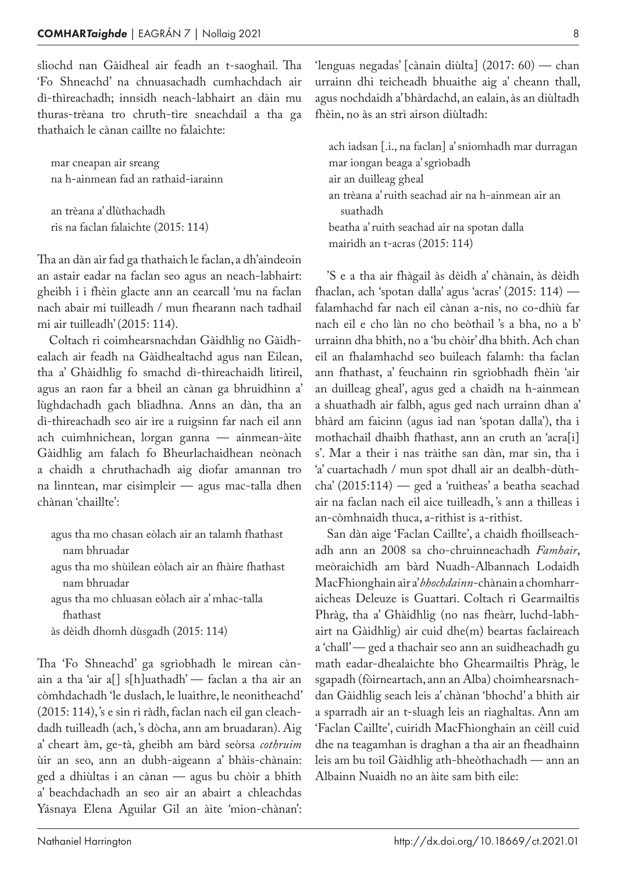sliochd nan Gàidheal air feadh an t-saoghail. Tha 'Fo Shneachd' na chnuasachadh cumhachdach air dì-thìreachadh; innsidh neach-labhairt an dàin mu thuras-trèana tro chruth-tìre sneachdail a tha ga thathaich le cànan caillte no falaichte:

mar cneapan air sreang na h‑ainmean fad an rathaid-iarainn

an trèana a' dlùthachadh ris na faclan falaichte (2015: 114)

Tha an dàn air fad ga thathaich le faclan, a dh'aindeoin an astair eadar na faclan seo agus an neach-labhairt: gheibh i i fhèin glacte ann an cearcall 'mu na faclan nach abair mi tuilleadh / mun fhearann nach tadhail mi air tuilleadh' (2015: 114).

Coltach ri coimhearsnachdan Gàidhlig no Gàidhealach air feadh na Gàidhealtachd agus nan Eilean, tha a' Ghàidhlig fo smachd dì-thìreachaidh litireil, agus an raon far a bheil an cànan ga bhruidhinn a' lùghdachadh gach bliadhna. Anns an dàn, tha an dì-thireachadh seo air ìre a ruigsinn far nach eil ann ach cuimhnichean, lorgan ganna — ainmean-àite Gàidhlig am falach fo Bheurlachaidhean neònach a chaidh a chruthachadh aig diofar amannan tro na linntean, mar eisimpleir — agus mac-talla dhen chànan 'chaillte':

agus tha mo chasan eòlach air an talamh fhathast nam bhruadar

agus tha mo shùilean eòlach air an fhàire fhathast nam bhruadar

agus tha mo chluasan eòlach air a' mhac-talla fhathast

às dèidh dhomh dùsgadh (2015: 114)

Tha 'Fo Shneachd' ga sgrìobhadh le mìrean cànain a tha 'air a[] s[h]uathadh' — faclan a tha air an còmhdachadh 'le duslach, le luaithre, le neonitheachd' (2015: 114), 's e sin ri ràdh, faclan nach eil gan cleach‑ dadh tuilleadh (ach, 's dòcha, ann am bruadaran). Aig a' cheart àm, ge-tà, gheibh am bàrd seòrsa *cothruim* ùir an seo, ann an dubh-aigeann a' bhàis-chànain: ged a dhiùltas i an cànan — agus bu chòir a bhith a' beachdachadh an seo air an abairt a chleachdas Yásnaya Elena Aguilar Gil an àite 'mion-chànan':

'lenguas negadas' [cànain diùlta] (2017: 60) — chan urrainn dhi teicheadh bhuaithe aig a' cheann thall, agus nochdaidh a' bhàrdachd, an ealain, às an diùltadh fhèin, no às an strì airson diùltadh:

ach iadsan [.i., na faclan] a' snìomhadh mar durragan mar iongan beaga a' sgrìobadh air an duilleag gheal an trèana a' ruith seachad air na h‑ainmean air an suathadh beatha a' ruith seachad air na spotan dalla mairidh an t‑acras (2015: 114)

'S e a tha air fhàgail às dèidh a' chànain, às dèidh fhaclan, ach 'spotan dalla' agus 'acras' (2015: 114) falamhachd far nach eil cànan a‑nis, no co-dhiù far nach eil e cho làn no cho beòthail 's a bha, no a b' urrainn dha bhith, no a 'bu chòir' dha bhith. Ach chan eil an fhalamhachd seo buileach falamh: tha faclan ann fhathast, a' feuchainn rin sgrìobhadh fhèin 'air an duilleag gheal', agus ged a chaidh na h-ainmean a shuathadh air falbh, agus ged nach urrainn dhan a' bhàrd am faicinn (agus iad nan 'spotan dalla'), tha i mothachail dhaibh fhathast, ann an cruth an 'acra[i] s'. Mar a their i nas tràithe san dàn, mar sin, tha i 'a' cuartachadh / mun spot dhall air an dealbh-dùthcha' (2015:114) — ged a 'ruitheas' a beatha seachad air na faclan nach eil aice tuilleadh, 's ann a thilleas i an-còmhnaidh thuca, a‑rithist is a‑rithist.

San dàn aige 'Faclan Caillte', a chaidh fhoillseachadh ann an 2008 sa cho-chruinneachadh *Famhair*, meòraichidh am bàrd Nuadh-Albannach Lodaidh MacFhionghain air a' *bhochdainn*-chànain a chomharr‑ aicheas Deleuze is Guattari. Coltach ri Gearmailtis Phràg, tha a' Ghàidhlig (no nas fheàrr, luchd-labhairt na Gàidhlig) air cuid dhe(m) beartas faclaireach a 'chall' — ged a thachair seo ann an suidheachadh gu math eadar-dhealaichte bho Ghearmailtis Phràg, le sgapadh (fòirneartach, ann an Alba) choimhearsnachdan Gàidhlig seach leis a' chànan 'bhochd' a bhith air a sparradh air an t‑sluagh leis an riaghaltas. Ann am 'Faclan Caillte', cuiridh MacFhionghain an cèill cuid dhe na teagamhan is draghan a tha air an fheadhainn leis am bu toil Gàidhlig ath-bheòthachadh — ann an Albainn Nuaidh no an àite sam bith eile:

8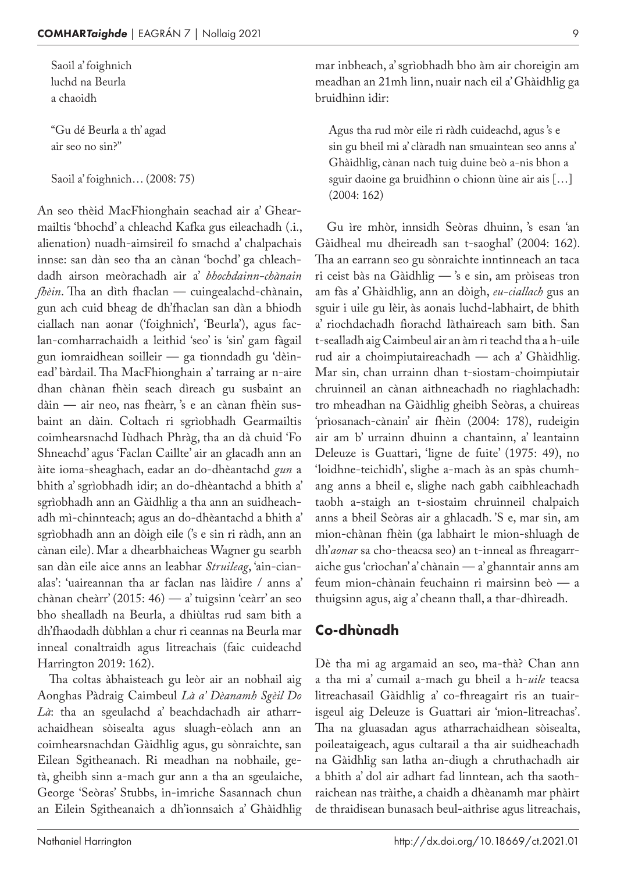Saoil a' foighnich luchd na Beurla a chaoidh

"Gu dé Beurla a th' agad air seo no sin?"

Saoil a' foighnich… (2008: 75)

An seo thèid MacFhionghain seachad air a' Ghearmailtis 'bhochd' a chleachd Kafka gus eileachadh (.i., alienation) nuadh-aimsireil fo smachd a' chalpachais innse: san dàn seo tha an cànan 'bochd' ga chleachdadh airson meòrachadh air a' *bhochdainn-chànain fhèin*. Tha an dìth fhaclan — cuingealachd-chànain, gun ach cuid bheag de dh'fhaclan san dàn a bhiodh ciallach nan aonar ('foighnich', 'Beurla'), agus faclan-comharrachaidh a leithid 'seo' is 'sin' gam fàgail gun iomraidhean soilleir — ga tionndadh gu 'dèin‑ ead' bàrdail. Tha MacFhionghain a' tarraing ar n-aire dhan chànan fhèin seach dìreach gu susbaint an dàin — air neo, nas fheàrr, 's e an cànan fhèin susbaint an dàin. Coltach ri sgrìobhadh Gearmailtis coimhearsnachd Iùdhach Phràg, tha an dà chuid 'Fo Shneachd' agus 'Faclan Caillte' air an glacadh ann an àite ioma-sheaghach, eadar an do-dhèantachd *gun* a bhith a' sgrìobhadh idir; an do-dhèantachd a bhith a' sgrìobhadh ann an Gàidhlig a tha ann an suidheachadh mì-chinnteach; agus an do-dhèantachd a bhith a' sgrìobhadh ann an dòigh eile ('s e sin ri ràdh, ann an cànan eile). Mar a dhearbhaicheas Wagner gu searbh san dàn eile aice anns an leabhar *Struileag*, 'ain-cianalas': 'uaireannan tha ar faclan nas làidire / anns a' chànan cheàrr' (2015: 46) — a' tuigsinn 'ceàrr' an seo bho shealladh na Beurla, a dhiùltas rud sam bith a dh'fhaodadh dùbhlan a chur ri ceannas na Beurla mar inneal conaltraidh agus litreachais (faic cuideachd Harrington 2019: 162).

Tha coltas àbhaisteach gu leòr air an nobhail aig Aonghas Pàdraig Caimbeul *Là a' Dèanamh Sgèil Do Là*: tha an sgeulachd a' beachdachadh air atharrachaidhean sòisealta agus sluagh-eòlach ann an coimhearsnachdan Gàidhlig agus, gu sònraichte, san Eilean Sgitheanach. Ri meadhan na nobhaile, getà, gheibh sinn a‑mach gur ann a tha an sgeulaiche, George 'Seòras' Stubbs, in-imriche Sasannach chun an Eilein Sgitheanaich a dh'ionnsaich a' Ghàidhlig

mar inbheach, a' sgrìobhadh bho àm air choreigin am meadhan an 21mh linn, nuair nach eil a' Ghàidhlig ga bruidhinn idir:

Agus tha rud mòr eile ri ràdh cuideachd, agus 's e sin gu bheil mi a' clàradh nan smuaintean seo anns a' Ghàidhlig, cànan nach tuig duine beò a‑nis bhon a sguir daoine ga bruidhinn o chionn ùine air ais […] (2004: 162)

Gu ìre mhòr, innsidh Seòras dhuinn, 's esan 'an Gàidheal mu dheireadh san t‑saoghal' (2004: 162). Tha an earrann seo gu sònraichte inntinneach an taca ri ceist bàs na Gàidhlig — 's e sin, am pròiseas tron am fàs a' Ghàidhlig, ann an dòigh, *eu-ciallach* gus an sguir i uile gu lèir, às aonais luchd-labhairt, de bhith a' riochdachadh fìorachd làthaireach sam bith. San t-sealladh aig Caimbeul air an àm ri teachd tha a h-uile rud air a choimpiutaireachadh — ach a' Ghàidhlig. Mar sin, chan urrainn dhan t-siostam-choimpiutair chruinneil an cànan aithneachadh no riaghlachadh: tro mheadhan na Gàidhlig gheibh Seòras, a chuireas 'prìosanach-cànain' air fhèin (2004: 178), rudeigin air am b' urrainn dhuinn a chantainn, a' leantainn Deleuze is Guattari, 'ligne de fuite' (1975: 49), no 'loidhne-teichidh', slighe a-mach às an spàs chumhang anns a bheil e, slighe nach gabh caibhleachadh taobh a‑staigh an t‑siostaim chruinneil chalpaich anns a bheil Seòras air a ghlacadh. 'S e, mar sin, am mion-chànan fhèin (ga labhairt le mion-shluagh de dh'*aonar* sa cho-theacsa seo) an t-inneal as fhreagarraiche gus 'crìochan' a' chànain — a' ghanntair anns am feum mion-chànain feuchainn ri mairsinn beò — a thuigsinn agus, aig a' cheann thall, a thar-dhìreadh.

#### Co-dhùnadh

Dè tha mi ag argamaid an seo, ma-thà? Chan ann a tha mi a' cumail a‑mach gu bheil a h‑*uile* teacsa litreachasail Gàidhlig a' co-fhreagairt ris an tuairisgeul aig Deleuze is Guattari air 'mion-litreachas'. Tha na gluasadan agus atharrachaidhean sòisealta, poileataigeach, agus cultarail a tha air suidheachadh na Gàidhlig san latha an-diugh a chruthachadh air a bhith a' dol air adhart fad linntean, ach tha saothraichean nas tràithe, a chaidh a dhèanamh mar phàirt de thraidisean bunasach beul-aithrise agus litreachais,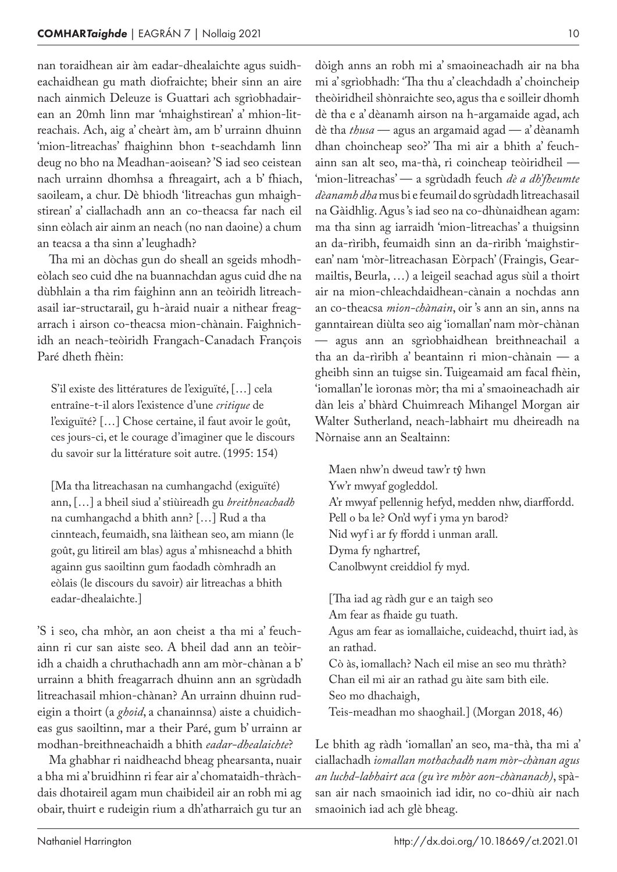nan toraidhean air àm eadar-dhealaichte agus suidheachaidhean gu math diofraichte; bheir sinn an aire nach ainmich Deleuze is Guattari ach sgrìobhadairean an 20mh linn mar 'mhaighstirean' a' mhion-litreachais. Ach, aig a' cheàrt àm, am b' urrainn dhuinn 'mion-litreachas' fhaighinn bhon t-seachdamh linn deug no bho na Meadhan-aoisean? 'S iad seo ceistean nach urrainn dhomhsa a fhreagairt, ach a b' fhiach, saoileam, a chur. Dè bhiodh 'litreachas gun mhaighstirean' a' ciallachadh ann an co-theacsa far nach eil sinn eòlach air ainm an neach (no nan daoine) a chum an teacsa a tha sinn a' leughadh?

Tha mi an dòchas gun do sheall an sgeids mhodheòlach seo cuid dhe na buannachdan agus cuid dhe na dùbhlain a tha rim faighinn ann an teòiridh litreachasail iar-structarail, gu h-àraid nuair a nithear freagarrach i airson co-theacsa mion-chànain. Faighnichidh an neach-teòiridh Frangach-Canadach François Paré dheth fhèin:

S'il existe des littératures de l'exiguïté, […] cela entraîne-t-il alors l'existence d'une *critique* de l'exiguïté? […] Chose certaine, il faut avoir le goût, ces jours-ci, et le courage d'imaginer que le discours du savoir sur la littérature soit autre. (1995: 154)

[Ma tha litreachasan na cumhangachd (exiguïté) ann, […] a bheil siud a' stiùireadh gu *breithneachadh* na cumhangachd a bhith ann? […] Rud a tha cinnteach, feumaidh, sna làithean seo, am miann (le goût, gu litireil am blas) agus a' mhisneachd a bhith againn gus saoiltinn gum faodadh còmhradh an eòlais (le discours du savoir) air litreachas a bhith eadar-dhealaichte.]

'S i seo, cha mhòr, an aon cheist a tha mi a' feuchainn ri cur san aiste seo. A bheil dad ann an teòiridh a chaidh a chruthachadh ann am mòr-chànan a b' urrainn a bhith freagarrach dhuinn ann an sgrùdadh litreachasail mhion-chànan? An urrainn dhuinn rudeigin a thoirt (a *ghoid*, a chanainnsa) aiste a chuidicheas gus saoiltinn, mar a their Paré, gum b' urrainn ar modhan-breithneachaidh a bhith *eadar-dhealaichte*?

Ma ghabhar ri naidheachd bheag phearsanta, nuair a bha mi a' bruidhinn ri fear air a' chomataidh-thràch‑ dais dhotaireil agam mun chaibideil air an robh mi ag obair, thuirt e rudeigin rium a dh'atharraich gu tur an

dòigh anns an robh mi a' smaoineachadh air na bha mi a' sgrìobhadh: 'Tha thu a' cleachdadh a' choincheip theòiridheil shònraichte seo, agus tha e soilleir dhomh dè tha e a' dèanamh airson na h‑argamaide agad, ach dè tha *thusa* — agus an argamaid agad — a' dèanamh dhan choincheap seo?' Tha mi air a bhith a' feuchainn san alt seo, ma-thà, ri coincheap teòiridheil — 'mion-litreachas' — a sgrùdadh feuch *dè a dh'fheumte dèanamh dha* mus bi e feumail do sgrùdadh litreachasail na Gàidhlig. Agus 's iad seo na co-dhùnaidhean agam: ma tha sinn ag iarraidh 'mion-litreachas' a thuigsinn an da-rìribh, feumaidh sinn an da-rìribh 'maighstirean' nam 'mòr-litreachasan Eòrpach' (Fraingis, Gearmailtis, Beurla, …) a leigeil seachad agus sùil a thoirt air na mion-chleachdaidhean-cànain a nochdas ann an co-theacsa *mion-chànain*, oir 's ann an sin, anns na ganntairean diùlta seo aig 'iomallan' nam mòr-chànan — agus ann an sgrìobhaidhean breithneachail a tha an da-rìribh a' beantainn ri mion-chànain — a gheibh sinn an tuigse sin. Tuigeamaid am facal fhèin, 'iomallan' le ìoronas mòr; tha mi a' smaoineachadh air dàn leis a' bhàrd Chuimreach Mihangel Morgan air Walter Sutherland, neach-labhairt mu dheireadh na Nòrnaise ann an Sealtainn:

Maen nhw'n dweud taw'r tŷ hwn Yw'r mwyaf gogleddol. A'r mwyaf pellennig hefyd, medden nhw, diarffordd. Pell o ba le? On'd wyf i yma yn barod? Nid wyf i ar fy ffordd i unman arall. Dyma fy nghartref, Canolbwynt creiddiol fy myd.

[Tha iad ag ràdh gur e an taigh seo Am fear as fhaide gu tuath. Agus am fear as iomallaiche, cuideachd, thuirt iad, às an rathad. Cò às, iomallach? Nach eil mise an seo mu thràth? Chan eil mi air an rathad gu àite sam bith eile. Seo mo dhachaigh, Teis-meadhan mo shaoghail.] (Morgan 2018, 46)

Le bhith ag ràdh 'iomallan' an seo, ma-thà, tha mi a' ciallachadh *iomallan mothachadh nam mòr-chànan agus an luchd-labhairt aca (gu ìre mhòr aon-chànanach)*, spà‑ san air nach smaoinich iad idir, no co-dhiù air nach smaoinich iad ach glè bheag.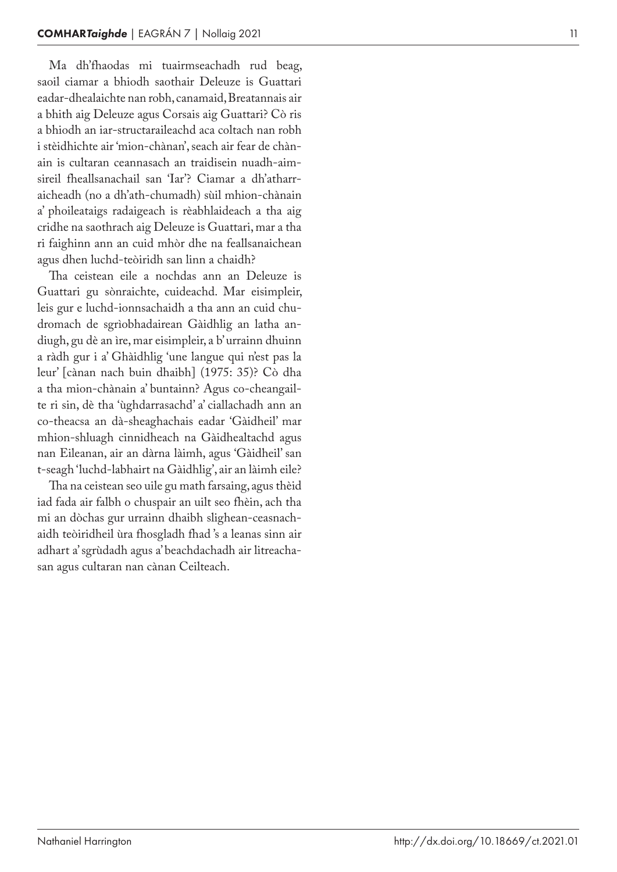Ma dh'fhaodas mi tuairmseachadh rud beag, saoil ciamar a bhiodh saothair Deleuze is Guattari eadar -dhealaichte nan robh, canamaid, Breatannais air a bhith aig Deleuze agus Corsais aig Guattari? Cò ris a bhiodh an iar -structaraileachd aca coltach nan robh i stèidhichte air 'mion-chànan', seach air fear de chànain is cultaran ceannasach an traidisein nuadh -aim ‑ sireil fheallsanachail san 'Iar'? Ciamar a dh'atharr ‑ aicheadh (no a dh'ath -chumadh) sùil mhion -chànain a' phoileataigs radaigeach is rèabhlaideach a tha aig cridhe na saothrach aig Deleuze is Guattari, mar a tha ri faighinn ann an cuid mhòr dhe na feallsanaichean agus dhen luchd -teòiridh san linn a chaidh?

Tha ceistean eile a nochdas ann an Deleuze is Guattari gu sònraichte, cuideachd. Mar eisimpleir, leis gur e luchd -ionnsachaidh a tha ann an cuid chu ‑ dromach de sgrìobhadairean Gàidhlig an latha an diugh, gu dè an ìre, mar eisimpleir, a b' urrainn dhuinn a ràdh gur i a' Ghàidhlig 'une langue qui n'est pas la leur' [cànan nach buin dhaibh] (1975: 35)? Cò dha a tha mion -chànain a' buntainn? Agus co -cheangail ‑ te ri sin, dè tha 'ùghdarrasachd' a' ciallachadh ann an co -theacsa an dà -sheaghachais eadar 'Gàidheil' mar mhion -shluagh cinnidheach na Gàidhealtachd agus nan Eileanan, air an dàrna làimh, agus 'Gàidheil' san t‑seagh 'luchd -labhairt na Gàidhlig', air an làimh eile?

Tha na ceistean seo uile gu math farsaing, agus thèid iad fada air falbh o chuspair an uilt seo fhèin, ach tha mi an dòchas gur urrainn dhaibh slighean -ceasnach ‑ aidh teòiridheil ùra fhosgladh fhad 's a leanas sinn air adhart a' sgrùdadh agus a' beachdachadh air litreacha ‑ san agus cultaran nan cànan Ceilteach.